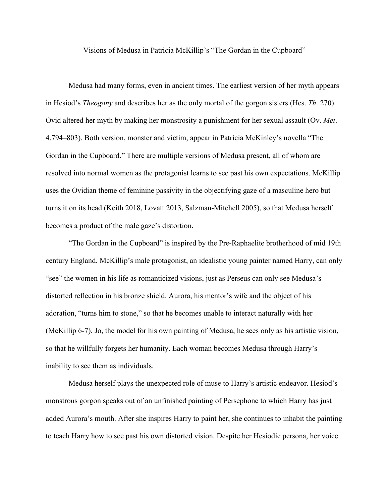Visions of Medusa in Patricia McKillip's "The Gordan in the Cupboard"

Medusa had many forms, even in ancient times. The earliest version of her myth appears in Hesiod's *Theogony* and describes her as the only mortal of the gorgon sisters (Hes. *Th*. 270). Ovid altered her myth by making her monstrosity a punishment for her sexual assault (Ov. *Met*. 4.794–803). Both version, monster and victim, appear in Patricia McKinley's novella "The Gordan in the Cupboard." There are multiple versions of Medusa present, all of whom are resolved into normal women as the protagonist learns to see past his own expectations. McKillip uses the Ovidian theme of feminine passivity in the objectifying gaze of a masculine hero but turns it on its head (Keith 2018, Lovatt 2013, Salzman-Mitchell 2005), so that Medusa herself becomes a product of the male gaze's distortion.

"The Gordan in the Cupboard" is inspired by the Pre-Raphaelite brotherhood of mid 19th century England. McKillip's male protagonist, an idealistic young painter named Harry, can only "see" the women in his life as romanticized visions, just as Perseus can only see Medusa's distorted reflection in his bronze shield. Aurora, his mentor's wife and the object of his adoration, "turns him to stone," so that he becomes unable to interact naturally with her (McKillip 6-7). Jo, the model for his own painting of Medusa, he sees only as his artistic vision, so that he willfully forgets her humanity. Each woman becomes Medusa through Harry's inability to see them as individuals.

Medusa herself plays the unexpected role of muse to Harry's artistic endeavor. Hesiod's monstrous gorgon speaks out of an unfinished painting of Persephone to which Harry has just added Aurora's mouth. After she inspires Harry to paint her, she continues to inhabit the painting to teach Harry how to see past his own distorted vision. Despite her Hesiodic persona, her voice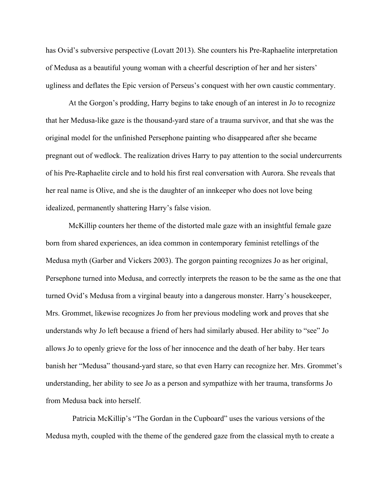has Ovid's subversive perspective (Lovatt 2013). She counters his Pre-Raphaelite interpretation of Medusa as a beautiful young woman with a cheerful description of her and her sisters' ugliness and deflates the Epic version of Perseus's conquest with her own caustic commentary.

At the Gorgon's prodding, Harry begins to take enough of an interest in Jo to recognize that her Medusa-like gaze is the thousand-yard stare of a trauma survivor, and that she was the original model for the unfinished Persephone painting who disappeared after she became pregnant out of wedlock. The realization drives Harry to pay attention to the social undercurrents of his Pre-Raphaelite circle and to hold his first real conversation with Aurora. She reveals that her real name is Olive, and she is the daughter of an innkeeper who does not love being idealized, permanently shattering Harry's false vision.

McKillip counters her theme of the distorted male gaze with an insightful female gaze born from shared experiences, an idea common in contemporary feminist retellings of the Medusa myth (Garber and Vickers 2003). The gorgon painting recognizes Jo as her original, Persephone turned into Medusa, and correctly interprets the reason to be the same as the one that turned Ovid's Medusa from a virginal beauty into a dangerous monster. Harry's housekeeper, Mrs. Grommet, likewise recognizes Jo from her previous modeling work and proves that she understands why Jo left because a friend of hers had similarly abused. Her ability to "see" Jo allows Jo to openly grieve for the loss of her innocence and the death of her baby. Her tears banish her "Medusa" thousand-yard stare, so that even Harry can recognize her. Mrs. Grommet's understanding, her ability to see Jo as a person and sympathize with her trauma, transforms Jo from Medusa back into herself.

Patricia McKillip's "The Gordan in the Cupboard" uses the various versions of the Medusa myth, coupled with the theme of the gendered gaze from the classical myth to create a